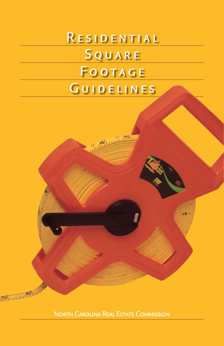# RESIDENTIAL **SQUARE** FOOTAGE GUIDELINES

North Carolina Real Estate Commission

**Elimitation**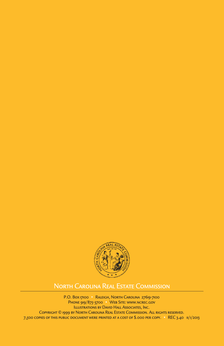

# North Carolina Real Estate Commission

P.O. Box 17100 • Raleigh, North Carolina 27619-7100 PHONE 919/875-3700 • WEB SITE: WWW.NCREC.GOV Illustrations by David Hall Associates, Inc. Copyright © 1999 by North Carolina Real Estate Commission. All rights reserved. 7,500 copies of this public document were printed at a cost of \$.000 per copy. • REC 3.40 11/1/2013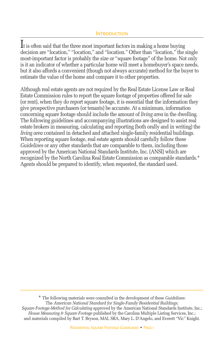It is often said that the three most important factors in making a home buying decision are "location," "location," and "location." Other than "location," the single most-important factor is probably the size or "square footage" of the home. Not only is it an indicator of whether a particular home will meet a homebuyer's space needs, but it also affords a convenient (though not always accurate) method for the buyer to estimate the value of the home and compare it to other properties.

Although real estate agents are not required by the Real Estate License Law or Real Estate Commission rules to report the square footage of properties offered for sale (or rent), when they do report square footage, it is essential that the information they give prospective purchasers (or tenants) be accurate. At a minimum, information concerning square footage should include the amount of *living area* in the dwelling. The following guidelines and accompanying illustrations are designed to assist real estate brokers in measuring, calculating and reporting (both orally and in writing) the *living area* contained in detached and attached single-family residential buildings. When reporting square footage, real estate agents should carefully follow these *Guidelines* or any other standards that are comparable to them, including those approved by the American National Standards Institute, Inc. (ANSI) which are recognized by the North Carolina Real Estate Commission as comparable standards.\* Agents should be prepared to identify, when requested, the standard used.

\* The following materials were consulted in the development of these *Guidelines*: The *American National Standard for Single-Family Residential Buildings; Square Footage-Method for Calculating* approved by the American National Standards Institute, Inc.; *House Measuring & Square Footage* published by the Carolina Multiple Listing Services, Inc.; and materials compiled by Bart T. Bryson, MAI, SRA, Mary L. D'Angelo, and Everett "Vic" Knight.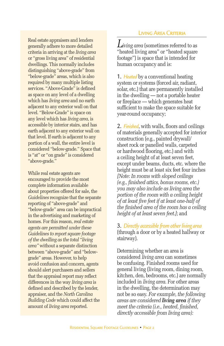Real estate appraisers and lenders generally adhere to more detailed criteria in arriving at the *living area* or "gross living area" of residential dwellings. This normally includes distinguishing "above-grade" from "below-grade" areas, which is also required by many multiple listing services. "Above-Grade" is defined as space on any level of a dwelling which has *living area* and no earth adjacent to any exterior wall on that level. "Below-Grade" is space on any level which has *living area*, is accessible by interior stairs, and has earth adjacent to any exterior wall on that level. If earth is adjacent to any portion of a wall, the entire level is considered "below-grade." Space that is "at" or "on grade" is considered "above-grade."

While real estate agents are encouraged to provide the most complete information available about properties offered for sale, the *Guidelines* recognize that the separate reporting of "above-grade" and "below-grade" area can be impractical in the advertising and marketing of homes. For this reason, *real estate agents are permitted under these Guidelines to report square footage of the dwelling as the total "living area"* without a separate distinction between "above-grade" and "belowgrade" areas. However, to help avoid confusion and concern, agents should alert purchasers and sellers that the appraisal report may reflect differences in the way *living area* is defined and described by the lender, appraiser, and the *North Carolina Building Code* which could affect the amount of *living area* reported.

#### Living Area Criteria

*Living area* (sometimes referred to as "heated living area" or "heated square footage") is space that is intended for human occupancy and is:

1. *Heated* by a conventional heating system or systems (forced air, radiant, solar, etc.) that are permanently installed in the dwelling — not a portable heater or fireplace — which generates heat sufficient to make the space suitable for year-round occupancy;

2. *Finished*, with walls, floors and ceilings of materials generally accepted for interior construction (e.g., painted drywall/ sheet rock or panelled walls, carpeted or hardwood flooring, etc.) and with a ceiling height of at least seven feet, except under beams, ducts, etc. where the height must be at least six feet four inches *[Note: In rooms with sloped ceilings (e.g., finished attics, bonus rooms, etc.) you may also include as living area the portion of the room with a ceiling height of at least five feet if at least one-half of the finished area of the room has a ceiling height of at least seven feet.]*; and

3. *Directly accessible from other living area* (through a door or by a heated hallway or stairway).

Determining whether an area is considered *living area* can sometimes be confusing. Finished rooms used for general living (living room, dining room, kitchen, den, bedrooms, etc.) are normally included in *living area*. For other areas in the dwelling, the determination may not be so easy. *For example, the following areas are considered living area if they meet the criteria (i.e., heated, finished, directly accessible from living area):*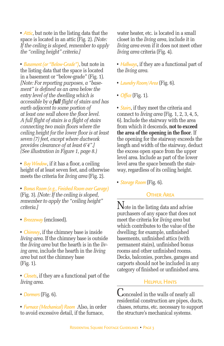• *Attic*, but note in the listing data that the space is located in an attic (Fig. 2). *[Note: If the ceiling is sloped, remember to apply the "ceiling height" criteria.]*

• *Basement (or "Below-Grade")*, but note in the listing data that the space is located in a basement or "below-grade" (Fig. 1). *[Note: For reporting purposes, a "basement" is defined as an area below the entry level of the dwelling which is accessible by a full flight of stairs and has earth adjacent to some portion of at least one wall above the floor level. A full flight of stairs is a flight of stairs connecting two main floors where the ceiling height for the lower floor is at least seven (7) feet, except where ductwork provides clearance of at least 6'4".] (See illustration in Figure 1, page 8.)*

• *Bay Window*, if it has a floor, a ceiling height of at least seven feet, and otherwise meets the criteria for *living area* (Fig. 2).

• *Bonus Room (e.g., Finished Room over Garage)* (Fig. 3). *[Note: If the ceiling is sloped, remember to apply the "ceiling height" criteria.]*

• *Breezeway* (enclosed).

• *Chimney*, if the chimney base is inside *living area*. If the chimney base is outside the *living area* but the hearth is in the *living area*, include the hearth in the *living area* but not the chimney base (Fig. 1).

• *Closets*, if they are a functional part of the *living area*.

- *Dormers* (Fig. 6).
- *Furnace (Mechanical) Room* Also, in order to avoid excessive detail, if the furnace,

water heater, etc. is located in a small closet in the *living area*, include it in *living area* even if it does not meet other *living area* criteria (Fig. 4).

• *Hallways*, if they are a functional part of the *living area*.

- *Laundry Room/Area* (Fig. 6).
- *Office* (Fig. 1).

• *Stairs*, if they meet the criteria and connect to *living area* (Fig. 1, 2, 3, 4, 5, 6). Include the stairway with the area from which it descends, **not to exceed the area of the opening in the floor**. If the opening for the stairway exceeds the length and width of the stairway, deduct the excess open space from the upper level area. Include as part of the lower level area the space beneath the stairway, regardless of its ceiling height.

• *Storage Room* (Fig. 6).

# **OTHER AREA**

 $\rm N$ ote in the listing data and advise purchasers of any space that does not meet the criteria for *living area* but which contributes to the value of the dwelling; for example, unfinished basements, unfinished attics (with permanent stairs), unfinished bonus rooms and other unfinished rooms. Decks, balconies, porches, garages and carports should not be included in any category of finished or unfinished area.

## **HELPFUL HINTS**

Concealed in the walls of nearly all residential construction are pipes, ducts, chases, returns, etc. necessary to support the structure's mechanical systems.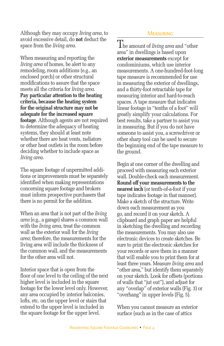Although they may occupy *living area*, to avoid excessive detail, do **not** deduct the space from the *living area*.

When measuring and reporting the *living area* of homes, be alert to any remodeling, room additions (e.g., an enclosed porch) or other structural modifications to assure that the space meets all the criteria for *living area*. **Pay particular attention to the heating criteria, because the heating system for the original structure may not be adequate for the increased square footage**. Although agents are not required to determine the adequacy of heating systems, they should at least note whether there are heat vents, radiators or other heat outlets in the room before deciding whether to include space as *living area*.

The square footage of unpermitted additions or improvements must be separately identified when making representations concerning square footage and brokers must inform prospective purchasers that there is no permit for the addition.

When an area that is not part of the *living area* (e.g., a garage) shares a common wall with the *living area*, treat the common wall as the exterior wall for the *living area*; therefore, the measurements for the living area will include the thickness of the common wall, and the measurements for the other area will not.

Interior space that is open from the floor of one level to the ceiling of the next higher level is included in the square footage for the lower level only. However, any area occupied by interior balconies, lofts, etc. on the upper level or stairs that extend to the upper level is included in the square footage for the upper level.

#### **MEASURING**

The amount of *living area* and "other area" in dwellings is based upon **exterior measurements** except for condominiums, which use interior measurements. A one-hundred-foot-long tape measure is recommended for use in measuring the exterior of dwellings, and a thirty-foot retractable tape for measuring interior and hard-to-reach spaces. A tape measure that indicates linear footage in "tenths of a foot" will greatly simplify your calculations. For best results, take a partner to assist you in measuring. But if you do not have someone to assist you, a screwdriver or other sharp tool can be used to secure the beginning end of the tape measure to the ground.

Begin at one corner of the dwelling and proceed with measuring each exterior wall. Double-check each measurement. **Round off your measurements to the nearest inch** (or tenth-of-a-foot if your tape indicates footage in that manner). Make a sketch of the structure. Write down each measurement as you go, and record it on your sketch. A clipboard and graph paper are helpful in sketching the dwelling and recording the measurements. You may also use electronic devices to create sketches. Be sure to print the electronic sketches for your records or save them in a manner that will enable you to print them for at least three years. Measure *living area* and "other area," but identify them separately on your sketch. Look for offsets (portions of walls that "jut out"), and adjust for any "overlap" of exterior walls (Fig. 3) or "overhang" in upper levels (Fig. 5).

When you cannot measure an exterior surface (such as in the case of attics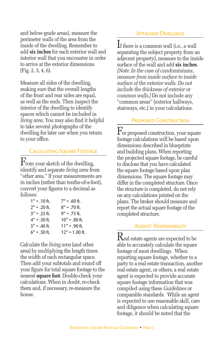and below-grade areas), measure the perimeter walls of the area from the inside of the dwelling. Remember to add **six inches** for each exterior wall and interior wall that you encounter in order to arrive at the exterior dimensions (Fig. 2, 3, 4, 6).

Measure all sides of the dwelling, making sure that the overall lengths of the front and rear sides are equal, as well as the ends. Then inspect the interior of the dwelling to identify spaces which cannot be included in *living area*. You may also find it helpful to take several photographs of the dwelling for later use when you return to your office.

## Calculating Square Footage

 $\Gamma$ rom your sketch of the dwelling, identify and separate *living area* from "other area." If your measurements are in inches (rather than tenths-of-a-foot), convert your figures to a decimal as follows:

| $1" = .10$ ft. | $7" = .60$ ft.   |
|----------------|------------------|
| $2" = .20$ ft. | $8" = .70$ ft.   |
| $3" = .25$ ft. | $9" = .75$ ft.   |
| $4" = .30$ ft. | $10" = .80$ ft.  |
| $5" = .40$ ft. | $11" = .90$ ft.  |
| $6" = .50$ ft. | $12" = 1.00$ ft. |

Calculate the *living area* (and other area) by multiplying the length times the width of each rectangular space. Then add your subtotals and round off your figure for total square footage to the nearest **square foot**. Double-check your calculations. When in doubt, re-check them and, if necessary, re-measure the house.

#### **ATTACHED DWELLINGS**

If there is a common wall (i.e., a wall separating the subject property from an adjecent property), measure to the inside surface of the wall and add **six inches**. *[Note: In the case of condominiums, measure from inside surface to inside surface of the exterior walls. Do not include the thickness of exterior or common walls.]* Do not include any "common areas" (exterior hallways, stairways, etc.) in your calculations.

#### PROPOSED CONSTRUCTION

For proposed construction, your square footage calculations will be based upon dimensions described in blueprints and building plans. When reporting the projected square footage, be careful to disclose that you have calculated the square footage based upon plan dimensions. The square footage may differ in the completed structure. Once the structure is completed, do not rely on any calculations printed on the plans. The broker should measure and report the actual square footage of the completed structure.

#### Agents' Responsibility

 $\rm K$ eal estate agents are expected to be able to accurately calculate the square footage of most dwellings. When reporting square footage, whether to a party to a real estate transaction, another real estate agent, or others, a real estate agent is expected to provide accurate square footage information that was compiled using these *Guidelines* or comparable standards. While an agent is expected to use reasonable skill, care and diligence when calculating square footage, it should be noted that the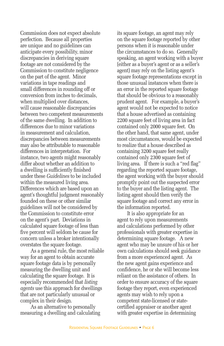Commission does not expect absolute perfection. Because all properties are unique and no guidelines can anticipate every possibility, minor discrepancies in deriving square footage are not considered by the Commission to constitute negligence on the part of the agent. Minor variations in tape readings and small differences in rounding off or conversion from inches to decimals, when multiplied over distances, will cause reasonable discrepancies between two competent measurements of the same dwelling. In addition to differences due to minor variations in measurement and calculation, discrepancies between measurements may also be attributable to reasonable differences in interpretation. For instance, two agents might reasonably differ about whether an addition to a dwelling is sufficiently finished under these *Guidelines* to be included within the measured living area. Differences which are based upon an agent's thoughtful judgment reasonably founded on these or other similar guidelines will not be considered by the Commission to constitute error on the agent's part. Deviations in calculated square footage of less than five percent will seldom be cause for concern unless a broker intentionally overstates the square footage.

As a general rule, the most reliable way for an agent to obtain accurate square footage data is by personally measuring the dwelling unit and calculating the square footage. It is especially recommended that *listing agents* use this approach for dwellings that are not particularly unusual or complex in their design.

As an alternative to personally measuring a dwelling and calculating

its square footage, an agent may rely on the square footage reported by other persons when it is reasonable under the circumstances to do so. Generally speaking, an agent working with a buyer (either as a buyer's agent or as a seller's agent) may rely on the listing agent's square footage representations except in those unusual instances when there is an error in the reported square footage that should be obvious to a reasonably prudent agent. For example, a buyer's agent would not be expected to notice that a house advertised as containing 2200 square feet of living area in fact contained only 2000 square feet. On the other hand, that same agent, under most circumstances, would be expected to realize that a house described as containing 3200 square feet really contained only 2300 square feet of living area. If there is such a "red flag" regarding the reported square footage, the agent working with the buyer should promptly point out the suspected error to the buyer and the listing agent. The listing agent should then verify the square footage and correct any error in the information reported.

It is also appropriate for an agent to rely upon measurements and calculations performed by other professionals with greater expertise in determining square footage. A new agent who may be unsure of his or her own calculations should seek guidance from a more experienced agent. As the new agent gains experience and confidence, he or she will become less reliant on the assistance of others. In order to ensure accuracy of the square footage they report, even experienced agents may wish to rely upon a competent state-licensed or statecertified appraiser or another agent with greater expertise in determining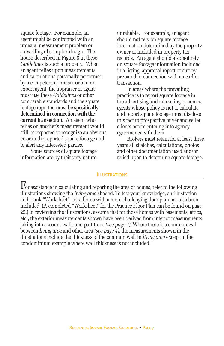square footage. For example, an agent might be confronted with an unusual measurement problem or a dwelling of complex design. The house described in Figure 8 in these *Guidelines* is such a property. When an agent relies upon measurements and calculations personally performed by a competent appraiser or a more expert agent, the appraiser or agent must use these *Guidelines* or other comparable standards and the square footage reported **must be specifically determined in connection with the current transaction**. An agent who relies on another's measurement would still be expected to recognize an obvious error in the reported square footage and to alert any interested parties.

Some sources of square footage information are by their very nature

unreliable. For example, an agent should **not** rely on square footage information determined by the property owner or included in property tax records. An agent should also **not** rely on square footage information included in a listing, appraisal report or survey prepared in connection with an earlier transaction.

In areas where the prevailing practice is to report square footage in the advertising and marketing of homes, agents whose policy is **not** to calculate and report square footage must disclose this fact to prospective buyer and seller clients before entering into agency agreements with them.

Brokers must retain for at least three years all sketches, calculations, photos and other documentation used and/or relied upon to determine square footage.

#### **ILLUSTRATIONS**

 $\mathbf F$  or assistance in calculating and reporting the area of homes, refer to the following illustrations showing the *living area* shaded. To test your knowledge, an illustration and blank "Worksheet" for a home with a more challenging floor plan has also been included. (A completed "Worksheet" for the Practice Floor Plan can be found on page 25.) In reviewing the illustrations, assume that for those homes with basements, attics, etc., the exterior measurements shown have been derived from interior measurements taking into account walls and partitions *(see page 4)*. Where there is a common wall between *living area* and other area *(see page 4)*, the measurements shown in the illustrations include the thickness of the common wall in *living area* except in the condominium example where wall thickness is not included.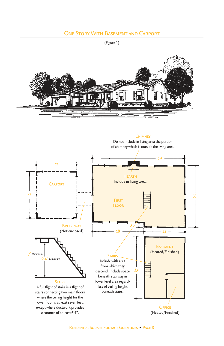# One Story With Basement and Carport

(Figure 1)



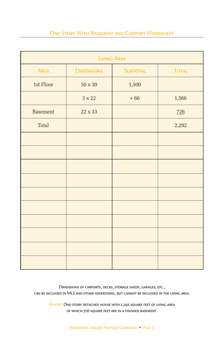# One Story With Basement and Carport Worksheet

| <b>LIVING AREA</b> |                   |                 |              |
|--------------------|-------------------|-----------------|--------------|
| <b>AREA</b>        | <b>DIMENSIONS</b> | <b>SUBTOTAL</b> | <b>TOTAL</b> |
| 1st Floor          | $50 \times 30$    | 1,500           |              |
|                    | $3 \times 22$     | $+66$           | 1,566        |
| <b>Basement</b>    | 22 x 33           |                 | 726          |
| <b>Total</b>       |                   |                 | 2,292        |
|                    |                   |                 |              |
|                    |                   |                 |              |
|                    |                   |                 |              |
|                    |                   |                 |              |
|                    |                   |                 |              |
|                    |                   |                 |              |
|                    |                   |                 |              |
|                    |                   |                 |              |
|                    |                   |                 |              |
|                    |                   |                 |              |

Dimensions of carports, decks, storage sheds, garages, etc., can be included in MLS and other advertising, but cannot be included in the living area.

REPORT: ONE-STORY DETACHED HOUSE WITH 2,292 SQUARE FEET OF LIVING AREA of which 726 square feet are in a finished basement.

Residential Square Footage Guidelines • Page 9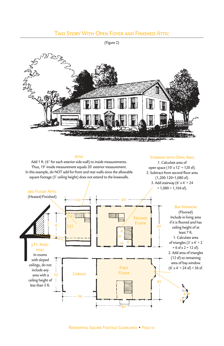# **TWO STORY WITH OPEN FOYER AND FINISHED ATTIC**

(Figure 2)



#### **ATTIC**

Add 1 ft. (6" for each exterior side wall) to inside measurements. Thus, 19' inside measurement equals 20' exterior measurement. In this example, do NOT add for front and rear walls since the allowable square footage (5' ceiling height) does not extend to the kneewalls.

#### Stairway with Open Area

1. Calculate area of open space (10' x 12' = 120 sf). 2. Subtract from second floor area (1,200-120=1,080 sf). 3. Add stairway (6' x 4' = 24  $+ 1,080 = 1,104$  sf).



RESIDENTIAL SOUARE FOOTAGE GUIDELINES • PAGE 10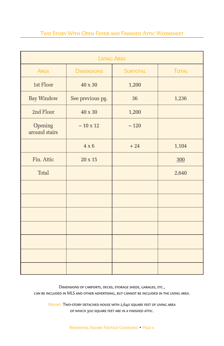# Two Story With Open Foyer and Finished Attic Worksheet

| <b>LIVING AREA</b>       |                   |                 |              |
|--------------------------|-------------------|-----------------|--------------|
| <b>AREA</b>              | <b>DIMENSIONS</b> | <b>SUBTOTAL</b> | <b>TOTAL</b> |
| 1st Floor                | 40 x 30           | 1,200           |              |
| <b>Bay Window</b>        | See previous pg.  | 36              | 1,236        |
| 2nd Floor                | 40 x 30           | 1,200           |              |
| Opening<br>around stairs | $-10 \times 12$   | $-120$          |              |
|                          | $4 \times 6$      | $+24$           | 1,104        |
| Fin. Attic               | $20 \times 15$    |                 | 300          |
| <b>Total</b>             |                   |                 | 2,640        |
|                          |                   |                 |              |
|                          |                   |                 |              |
|                          |                   |                 |              |
|                          |                   |                 |              |
|                          |                   |                 |              |
|                          |                   |                 |              |
|                          |                   |                 |              |

Dimensions of carports, decks, storage sheds, garages, etc., can be included in MLS and other advertising, but cannot be included in the living area.

REPORT: TWO-STORY DETACHED HOUSE WITH 2,640 SQUARE FEET OF LIVING AREA of which 300 square feet are in a finished attic.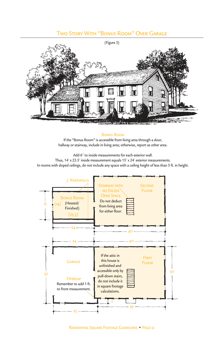## Two Story With "Bonus Room" Over Garage



#### Bonus Room

If the "Bonus Room" is accessible from living area through a door, hallway or stairway, include in living area; otherwise, report as other area.

Add 6" to inside measurements for each exterior wall.

Thus, 14' x 23.5' inside measurement equals 15' x 24' exterior measurements. In rooms with sloped ceilings, do not include any space with a ceiling height of less than 5 ft. in height.

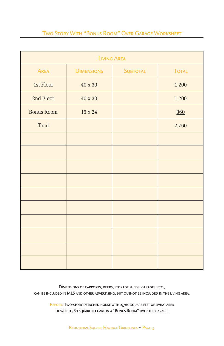# Two Story With "Bonus Room" Over Garage Worksheet

| <b>LIVING AREA</b> |                   |                 |              |
|--------------------|-------------------|-----------------|--------------|
| <b>AREA</b>        | <b>DIMENSIONS</b> | <b>SUBTOTAL</b> | <b>TOTAL</b> |
| 1st Floor          | $40 \times 30$    |                 | 1,200        |
| 2nd Floor          | 40 x 30           |                 | 1,200        |
| <b>Bonus Room</b>  | $15 \times 24$    |                 | 360          |
| Total              |                   |                 | 2,760        |
|                    |                   |                 |              |
|                    |                   |                 |              |
|                    |                   |                 |              |
|                    |                   |                 |              |
|                    |                   |                 |              |
|                    |                   |                 |              |
|                    |                   |                 |              |
|                    |                   |                 |              |
|                    |                   |                 |              |
|                    |                   |                 |              |

Dimensions of carports, decks, storage sheds, garages, etc., can be included in MLS and other advertising, but cannot be included in the living area.

> REPORT: TWO-STORY DETACHED HOUSE WITH 2,760 SQUARE FEET OF LIVING AREA of which 360 square feet are in a "Bonus Room" over the garage.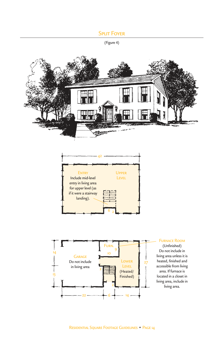# **SPLIT FOYER**

(Figure 4)





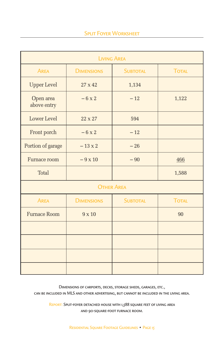| <b>LIVING AREA</b>       |                   |                   |              |
|--------------------------|-------------------|-------------------|--------------|
| <b>AREA</b>              | <b>DIMENSIONS</b> | <b>SUBTOTAL</b>   | <b>TOTAL</b> |
| <b>Upper Level</b>       | $27 \times 42$    | 1,134             |              |
| Open area<br>above entry | $-6x2$            | $-12$             | 1,122        |
| Lower Level              | 22 x 27           | 594               |              |
| Front porch              | $-6x2$            | $-12$             |              |
| Portion of garage        | $-13 \times 2$    | $-26$             |              |
| Furnace room             | $-9 \times 10$    | $-90$             | 466          |
| Total                    |                   |                   | 1,588        |
|                          |                   | <b>OTHER AREA</b> |              |
| <b>AREA</b>              | <b>DIMENSIONS</b> | <b>SUBTOTAL</b>   | <b>TOTAL</b> |
| <b>Furnace Room</b>      | $9 \times 10$     |                   | 90           |
|                          |                   |                   |              |
|                          |                   |                   |              |
|                          |                   |                   |              |
|                          |                   |                   |              |

Dimensions of carports, decks, storage sheds, garages, etc.,

can be included in MLS and other advertising, but cannot be included in the living area.

REPORT: SPLIT-FOYER DETACHED HOUSE WITH 1,588 SQUARE FEET OF LIVING AREA and 90-square-foot furnace room.

Residential Square Footage Guidelines • Page 15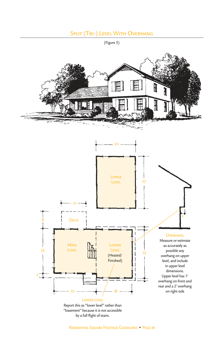# SPLIT (TRI-) LEVEL WITH OVERHANG



(Figure 5)

"basement" because it is not accessible by a full flight of stairs.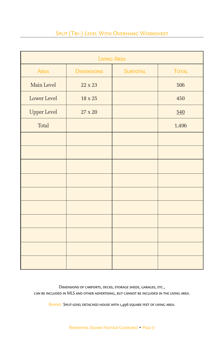# SPLIT (TRI-) LEVEL WITH OVERHANG WORKSHEET

| <b>LIVING AREA</b> |                   |                 |              |
|--------------------|-------------------|-----------------|--------------|
| <b>AREA</b>        | <b>DIMENSIONS</b> | <b>SUBTOTAL</b> | <b>TOTAL</b> |
| Main Level         | 22 x 23           |                 | 506          |
| Lower Level        | $18 \times 25$    |                 | 450          |
| <b>Upper Level</b> | $27 \times 20$    |                 | 540          |
| <b>Total</b>       |                   |                 | 1,496        |
|                    |                   |                 |              |
|                    |                   |                 |              |
|                    |                   |                 |              |
|                    |                   |                 |              |
|                    |                   |                 |              |
|                    |                   |                 |              |
|                    |                   |                 |              |
|                    |                   |                 |              |
|                    |                   |                 |              |
|                    |                   |                 |              |

Dimensions of carports, decks, storage sheds, garages, etc., can be included in MLS and other advertising, but cannot be included in the living area.

REPORT: SPLIT-LEVEL DETACHED HOUSE WITH 1,496 SQUARE FEET OF LIVING AREA.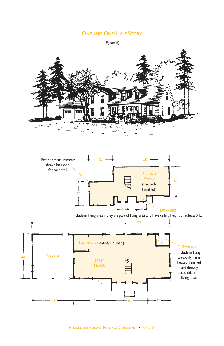## One and One-Half Story

(Figure 6)

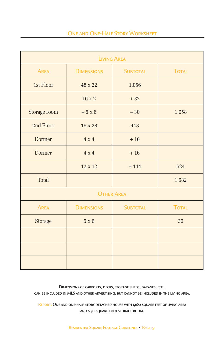| <b>LIVING AREA</b> |                   |                   |              |
|--------------------|-------------------|-------------------|--------------|
| <b>AREA</b>        | <b>DIMENSIONS</b> | <b>SUBTOTAL</b>   | <b>TOTAL</b> |
| 1st Floor          | 48 x 22           | 1,056             |              |
|                    | $16 \times 2$     | $+32$             |              |
| Storage room       | $-5 \times 6$     | $-30$             | 1,058        |
| 2nd Floor          | 16 x 28           | 448               |              |
| Dormer             | $4 \times 4$      | $+16$             |              |
| <b>Dormer</b>      | $4 \times 4$      | $+16$             |              |
|                    | 12 x 12           | $+144$            | 624          |
| <b>Total</b>       |                   |                   | 1,682        |
|                    |                   | <b>OTHER AREA</b> |              |
| <b>AREA</b>        | <b>DIMENSIONS</b> | <b>SUBTOTAL</b>   | <b>TOTAL</b> |
| Storage            | $5 \times 6$      |                   | 30           |
|                    |                   |                   |              |
|                    |                   |                   |              |
|                    |                   |                   |              |

Dimensions of carports, decks, storage sheds, garages, etc., can be included in MLS and other advertising, but cannot be included in the living area.

REPORT: ONE AND ONE-HALF STORY DETACHED HOUSE WITH 1,682 SQUARE FEET OF LIVING AREA and a 30-square-foot storage room.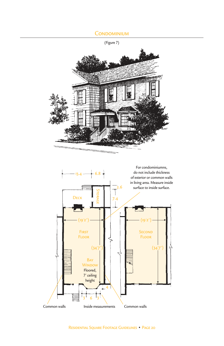## **CONDOMINIUM**



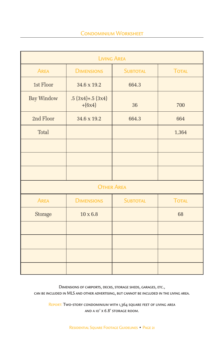| <b>LIVING AREA</b> |                               |                 |              |
|--------------------|-------------------------------|-----------------|--------------|
| <b>AREA</b>        | <b>DIMENSIONS</b>             | <b>SUBTOTAL</b> | <b>TOTAL</b> |
| 1st Floor          | 34.6 x 19.2                   | 664.3           |              |
| <b>Bay Window</b>  | $.5(3x4)+.5(3x4)$<br>$+(6x4)$ | 36              | 700          |
| 2nd Floor          | 34.6 x 19.2                   | 664.3           | 664          |
| <b>Total</b>       |                               |                 | 1,364        |
|                    |                               |                 |              |
|                    |                               |                 |              |
|                    |                               |                 |              |
|                    | <b>OTHER AREA</b>             |                 |              |
| <b>AREA</b>        | <b>DIMENSIONS</b>             | <b>SUBTOTAL</b> | <b>TOTAL</b> |
| Storage            | $10 \times 6.8$               |                 | 68           |
|                    |                               |                 |              |
|                    |                               |                 |              |
|                    |                               |                 |              |
|                    |                               |                 |              |

Dimensions of carports, decks, storage sheds, garages, etc., can be included in MLS and other advertising, but cannot be included in the living area.

REPORT: TWO-STORY CONDOMINIUM WITH 1,364 SQUARE FEET OF LIVING AREA and a 10' x 6.8' storage room.

Residential Square Footage Guidelines • Page 21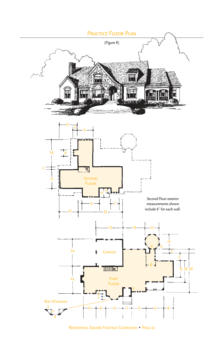

Residential Square Footage Guidelines • Page 22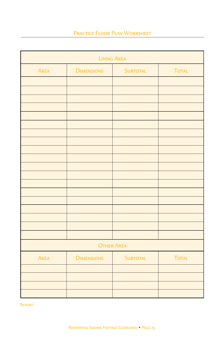# PRACTICE FLOOR PLAN WORKSHEET

| <b>LIVING AREA</b> |                   |                 |              |
|--------------------|-------------------|-----------------|--------------|
| <b>AREA</b>        | <b>DIMENSIONS</b> | <b>SUBTOTAL</b> | <b>TOTAL</b> |
|                    |                   |                 |              |
|                    |                   |                 |              |
|                    |                   |                 |              |
|                    |                   |                 |              |
|                    |                   |                 |              |
|                    |                   |                 |              |
|                    |                   |                 |              |
|                    |                   |                 |              |
|                    |                   |                 |              |
|                    |                   |                 |              |
|                    |                   |                 |              |
|                    |                   |                 |              |
|                    |                   |                 |              |
|                    |                   |                 |              |
|                    |                   |                 |              |
|                    |                   |                 |              |
|                    |                   |                 |              |
|                    |                   |                 |              |
| <b>OTHER AREA</b>  |                   |                 |              |
| <b>AREA</b>        | <b>DIMENSIONS</b> | <b>SUBTOTAL</b> | <b>TOTAL</b> |
|                    |                   |                 |              |
|                    |                   |                 |              |
|                    |                   |                 |              |
|                    |                   |                 |              |

Report: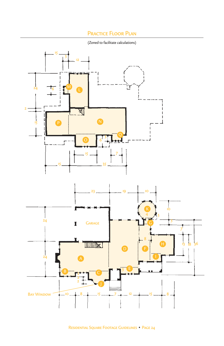# Practice Floor Plan

(Zoned to facilitate calculations)

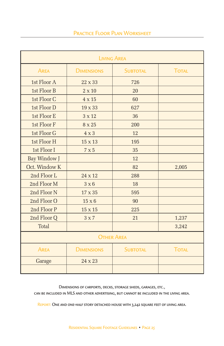| <b>LIVING AREA</b> |                   |                 |              |
|--------------------|-------------------|-----------------|--------------|
| <b>AREA</b>        | <b>DIMENSIONS</b> | <b>SUBTOTAL</b> | <b>TOTAL</b> |
| 1st Floor A        | $22 \times 33$    | 726             |              |
| 1st Floor B        | $2 \times 10$     | 20              |              |
| 1st Floor C        | 4 x 15            | 60              |              |
| 1st Floor D        | 19 x 33           | 627             |              |
| 1st Floor E        | 3 x 12            | 36              |              |
| 1st Floor F        | 8 x 25            | 200             |              |
| 1st Floor G        | $4 \times 3$      | 12              |              |
| 1st Floor H        | 15 x 13           | 195             |              |
| 1st Floor I        | 7 x 5             | 35              |              |
| Bay Window J       |                   | 12              |              |
| Oct. Window K      |                   | 82              | 2,005        |
| 2nd Floor L        | $24 \times 12$    | 288             |              |
| 2nd Floor M        | $3 \times 6$      | 18              |              |
| 2nd Floor N        | 17 x 35           | 595             |              |
| 2nd Floor O        | $15 \times 6$     | 90              |              |
| 2nd Floor P        | $15 \times 15$    | 225             |              |
| 2nd Floor Q        | $3 \times 7$      | 21              | 1,237        |
| <b>Total</b>       |                   |                 | 3,242        |
| <b>OTHER AREA</b>  |                   |                 |              |
| <b>AREA</b>        | <b>DIMENSIONS</b> | <b>SUBTOTAL</b> | <b>TOTAL</b> |
| Garage             | 24 x 23           |                 |              |
|                    |                   |                 |              |

Dimensions of carports, decks, storage sheds, garages, etc.,

can be included in MLS and other advertising, but cannot be included in the living area.

REPORT: ONE AND ONE-HALF STORY DETACHED HOUSE WITH 3,242 SQUARE FEET OF LIVING AREA.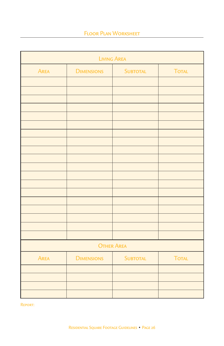# Floor Plan Worksheet

| <b>LIVING AREA</b> |                   |                 |              |
|--------------------|-------------------|-----------------|--------------|
| <b>AREA</b>        | <b>DIMENSIONS</b> | <b>SUBTOTAL</b> | <b>TOTAL</b> |
|                    |                   |                 |              |
|                    |                   |                 |              |
|                    |                   |                 |              |
|                    |                   |                 |              |
|                    |                   |                 |              |
|                    |                   |                 |              |
|                    |                   |                 |              |
|                    |                   |                 |              |
|                    |                   |                 |              |
|                    |                   |                 |              |
|                    |                   |                 |              |
|                    |                   |                 |              |
|                    |                   |                 |              |
|                    |                   |                 |              |
|                    |                   |                 |              |
|                    |                   |                 |              |
|                    |                   |                 |              |
|                    |                   |                 |              |
| <b>OTHER AREA</b>  |                   |                 |              |
| <b>AREA</b>        | <b>DIMENSIONS</b> | <b>SUBTOTAL</b> | <b>TOTAL</b> |
|                    |                   |                 |              |
|                    |                   |                 |              |
|                    |                   |                 |              |
|                    |                   |                 |              |

Report: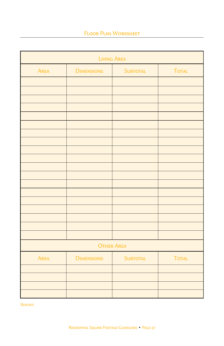# Floor Plan Worksheet

| <b>LIVING AREA</b> |                   |                   |              |
|--------------------|-------------------|-------------------|--------------|
| <b>AREA</b>        | <b>DIMENSIONS</b> | <b>SUBTOTAL</b>   | <b>TOTAL</b> |
|                    |                   |                   |              |
|                    |                   |                   |              |
|                    |                   |                   |              |
|                    |                   |                   |              |
|                    |                   |                   |              |
|                    |                   |                   |              |
|                    |                   |                   |              |
|                    |                   |                   |              |
|                    |                   |                   |              |
|                    |                   |                   |              |
|                    |                   |                   |              |
|                    |                   |                   |              |
|                    |                   |                   |              |
|                    |                   |                   |              |
|                    |                   |                   |              |
|                    |                   |                   |              |
|                    |                   |                   |              |
|                    |                   | <b>OTHER AREA</b> |              |
|                    |                   |                   |              |
| <b>AREA</b>        | <b>DIMENSIONS</b> | <b>SUBTOTAL</b>   | <b>TOTAL</b> |
|                    |                   |                   |              |
|                    |                   |                   |              |
|                    |                   |                   |              |
|                    |                   |                   |              |

Report: